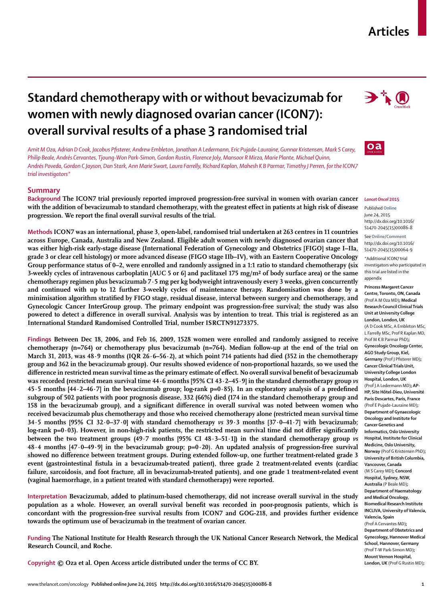# **Articles**

# **Standard chemotherapy with or without bevacizumab for women with newly diagnosed ovarian cancer (ICON7): overall survival results of a phase 3 randomised trial**

*Amit M Oza, Adrian D Cook, Jacobus Pfi sterer, Andrew Embleton, Jonathan A Ledermann, Eric Pujade-Lauraine, Gunnar Kristensen, Mark S Carey, Philip Beale, Andrés Cervantes, Tjoung-Won Park-Simon, Gordon Rustin, Florence Joly, Mansoor R Mirza, Marie Plante, Michael Quinn, Andrés Poveda, Gordon C Jayson, Dan Stark, Ann Marie Swart, Laura Farrelly, Richard Kaplan, Mahesh K B Parmar, Timothy J Perren, for the ICON7 trial investigators\**

## **Summary**

**Background The ICON7 trial previously reported improved progression-free survival in women with ovarian cancer**  with the addition of bevacizumab to standard chemotherapy, with the greatest effect in patients at high risk of disease progression. We report the final overall survival results of the trial.





#### *Lancet Oncol* **2015**

Published **Online** June 24, 2015 http://dx.doi.org/10.1016/ S1470-2045(15)00086-8

See**Online/Comment** http://dx.doi.org/10.1016/ S1470-2045(15)00064-9 \*Additional ICON7 trial

investigators who participated in this trial are listed in the appendix

**Princess Margaret Cancer** 

**Centre, Toronto, ON, Canada** (Prof A M Oza MD)**; Medical Research Council Clinical Trials Unit at University College London, London, UK**  (A D Cook MSc, A Embleton MSc, L Farrelly MSc, Prof R Kaplan MD, Prof M K B Parmar PhD)**; Gynecologic Oncology Center, AGO Study Group, Kiel, Germany** (Prof I Pfisterer MD): **Cancer Clinical Trials Unit, University College London Hospital, London, UK** (Prof J A Ledermann MD)**; AP-HP, Site Hôtel-Dieu, Université Paris Descartes, Paris, France** (Prof E Pujade-Lauraine MD)**; Department of Gynaecologic Oncology and Institute for Cancer Genetics and Informatics, Oslo University Hospital, Institute for Clinical Medicine, Oslo University, Norway** (Prof G Kristensen PhD)**; University of British Columbia, Vancouver, Canada**  (M S Carey MD)**; Concord Hospital, Sydney, NSW, Australia** (P Beale MD)**; Department of Haematology and Medical Oncology, Biomedical Research Institute INCLIVA, University of Valencia, Valencia, Spain**

(Prof A Cervantes MD)**; Department of Obstetrics and Gynecology, Hannover Medical School, Hannover, Germany** (Prof T-W Park-Simon MD)**; Mount Vernon Hospital, London, UK** (Prof G Rustin MD)**;** 

**Methods ICON7 was an international, phase 3, open-label, randomised trial undertaken at 263 centres in 11 countries across Europe, Canada, Australia and New Zealand. Eligible adult women with newly diagnosed ovarian cancer that was either high-risk early-stage disease (International Federation of Gynecology and Obstetrics [FIGO] stage I–IIa, grade 3 or clear cell histology) or more advanced disease (FIGO stage IIb–IV), with an Eastern Cooperative Oncology Group performance status of 0–2, were enrolled and randomly assigned in a 1:1 ratio to standard chemotherapy (six 3-weekly cycles of intravenous carboplatin [AUC 5 or 6] and paclitaxel 175 mg/m² of body surface area) or the same chemotherapy regimen plus bevacizumab 7·5 mg per kg bodyweight intravenously every 3 weeks, given concurrently and continued with up to 12 further 3-weekly cycles of maintenance therapy. Randomisation was done by a**  minimisation algorithm stratified by FIGO stage, residual disease, interval between surgery and chemotherapy, and **Gynecologic Cancer InterGroup group. The primary endpoint was progression-free survival; the study was also**  powered to detect a difference in overall survival. Analysis was by intention to treat. This trial is registered as an **International Standard Randomised Controlled Trial, number ISRCTN91273375.**

**Findings Between Dec 18, 2006, and Feb 16, 2009, 1528 women were enrolled and randomly assigned to receive chemotherapy (n=764) or chemotherapy plus bevacizumab (n=764). Median follow-up at the end of the trial on March 31, 2013, was 48·9 months (IQR 26·6–56·2), at which point 714 patients had died (352 in the chemotherapy group and 362 in the bevacizumab group). Our results showed evidence of non-proportional hazards, so we used the**  difference in restricted mean survival time as the primary estimate of effect. No overall survival benefit of bevacizumab **was recorded (restricted mean survival time 44·6 months [95% CI 43·2–45·9] in the standard chemotherapy group** *vs* **45·5 months [44·2–46·7] in the bevacizumab group; log-rank p=0·85). In an exploratory analysis of a predefi ned subgroup of 502 patients with poor prognosis disease, 332 (66%) died (174 in the standard chemotherapy group and**  158 in the bevacizumab group), and a significant difference in overall survival was noted between women who **received bevacizumab plus chemotherapy and those who received chemotherapy alone (restricted mean survival time 34·5 months [95% CI 32·0–37·0] with standard chemotherapy** *vs* **39·3 months [37·0–41·7] with bevacizumab;**  log-rank p=0·03). However, in non-high-risk patients, the restricted mean survival time did not differ significantly **between the two treatment groups (49·7 months [95% CI 48·3–51·1]) in the standard chemotherapy group** *vs* **48·4 months [47·0–49·9] in the bevacizumab group; p=0·20**). **An updated analysis of progression-free survival**  showed no difference between treatment groups. During extended follow-up, one further treatment-related grade 3 **event (gastrointestinal fistula in a bevacizumab-treated patient), three grade 2 treatment-related events (cardiac failure, sarcoidosis, and foot fracture, all in bevacizumab-treated patients), and one grade 1 treatment-related event (vaginal haemorrhage, in a patient treated with standard chemotherapy) were reported.**

**Interpretation Bevacizumab, added to platinum-based chemotherapy, did not increase overall survival in the study**  population as a whole. However, an overall survival benefit was recorded in poor-prognosis patients, which is **concordant with the progression-free survival results from ICON7 and GOG-218, and provides further evidence towards the optimum use of bevacizumab in the treatment of ovarian cancer.**

**Funding The National Institute for Health Research through the UK National Cancer Research Network, the Medical Research Council, and Roche.**

**Copyright © Oza et al. Open Access article distributed under the terms of CC BY.**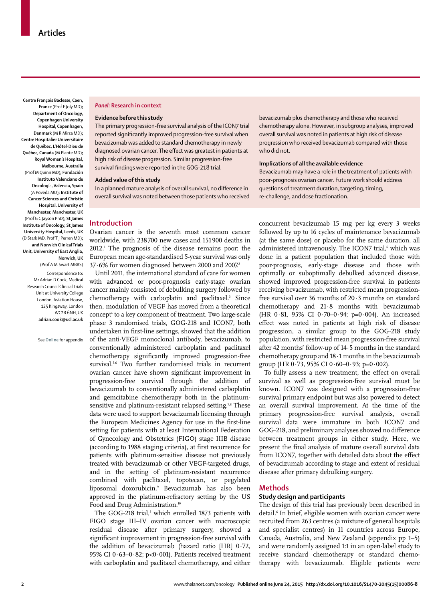**Centre François Baclesse, Caen, France** (Prof F Joly MD)**; Department of Oncology, Copenhagen University Hospital, Copenhagen, Denmark** (M R Mirza MD)**; Centre Hospitalier Universitaire de Québec, L'Hôtel-Dieu de Québec, Canada** (M Plante MD)**; Royal Women's Hospital, Melbourne, Australia** (Prof M Quinn MD)**; Fundación Instituto Valenciano de Oncolog**ía**, Valencia, Spain**  (A Poveda MD)**; Institute of Cancer Sciences and Christie Hospital, University of Manchester, Manchester, UK** (Prof G C Jayson PhD)**; St James Institute of Oncology, St James University Hospital, Leeds, UK** (D Stark MD, Prof T J Perren MD)**; and Norwich Clinical Trials Unit, University of East Anglia, Norwich, UK**  (Prof A M Swart MBBS)

Correspondence to**:** Mr Adrian D Cook, Medical Research Council Clinical Trials Unit at University College London, Aviation House, 125 Kingsway, London WC<sub>2</sub>B 6NH LIK **adrian.cook@ucl.ac.uk** 

See **Online** for appendix

## *Panel:* **Research in context**

#### **Evidence before this study**

The primary progression-free survival analysis of the ICON7 trial reported significantly improved progression-free survival when bevacizumab was added to standard chemotherapy in newly diagnosed ovarian cancer. The effect was greatest in patients at high risk of disease progression. Similar progression-free survival findings were reported in the GOG-218 trial.

#### **Added value of this study**

In a planned mature analysis of overall survival, no difference in overall survival was noted between those patients who received bevacizumab plus chemotherapy and those who received chemotherapy alone. However, in subgroup analyses, improved overall survival was noted in patients at high risk of disease progression who received bevacizumab compared with those who did not.

#### **Implications of all the available evidence**

Bevacizumab may have a role in the treatment of patients with poor-prognosis ovarian cancer. Future work should address questions of treatment duration, targeting, timing, re-challenge, and dose fractionation.

## **Introduction**

Ovarian cancer is the seventh most common cancer worldwide, with 238 700 new cases and 151 900 deaths in 2012.1 The prognosis of the disease remains poor: the European mean age-standardised 5-year survival was only  $37.6\%$  for women diagnosed between 2000 and 2007.<sup>2</sup>

Until 2011, the international standard of care for women with advanced or poor-prognosis early-stage ovarian cancer mainly consisted of debulking surgery followed by chemotherapy with carboplatin and paclitaxel.3 Since then, modulation of VEGF has moved from a theoretical concept4 to a key component of treatment. Two large-scale phase 3 randomised trials, GOG-218 and ICON7, both undertaken in first-line settings, showed that the addition of the anti-VEGF monoclonal antibody, bevacizumab, to conventionally administered carboplatin and paclitaxel chemotherapy significantly improved progression-free survival.<sup>5,6</sup> Two further randomised trials in recurrent ovarian cancer have shown significant improvement in progression-free survival through the addition of bevacizumab to conventionally administered carboplatin and gemcitabine chemotherapy both in the platinumsensitive and platinum-resistant relapsed setting.<sup>7,8</sup> These data were used to support bevacizumab licensing through the European Medicines Agency for use in the first-line setting for patients with at least International Federation of Gynecology and Obstetrics (FIGO) stage IIIB disease (according to 1988 staging criteria), at first recurrence for patients with platinum-sensitive disease not previously treated with bevacizumab or other VEGF-targeted drugs, and in the setting of platinum-resistant recurrence combined with paclitaxel, topotecan, or pegylated liposomal doxorubicin.9 Bevacizumab has also been approved in the platinum-refractory setting by the US Food and Drug Administration.<sup>10</sup>

The GOG-218 trial,<sup>5</sup> which enrolled 1873 patients with FIGO stage III–IV ovarian cancer with macroscopic residual disease after primary surgery, showed a significant improvement in progression-free survival with the addition of bevacizumab (hazard ratio [HR] 0·72, 95% CI 0·63–0·82; p<0·001). Patients received treatment with carboplatin and paclitaxel chemotherapy, and either

concurrent bevacizumab 15 mg per kg every 3 weeks followed by up to 16 cycles of maintenance bevacizumab (at the same dose) or placebo for the same duration, all administered intravenously. The ICON7 trial, which was done in a patient population that included those with poor-prognosis, early-stage disease and those with optimally or suboptimally debulked advanced disease, showed improved progression-free survival in patients receiving bevacizumab, with restricted mean progressionfree survival over 36 months of 20·3 months on standard chemotherapy and 21·8 months with bevacizumab (HR 0·81, 95% CI 0·70–0·94; p=0·004). An increased effect was noted in patients at high risk of disease progression, a similar group to the GOG-218 study population, with restricted mean progression-free survival after 42 months' follow-up of 14·5 months in the standard chemotherapy group and 18·1 months in the bevacizumab group (HR 0 $-73$ , 95% CI 0 $-60-0.93$ ; p=0 $-0.002$ ).

To fully assess a new treatment, the effect on overall survival as well as progression-free survival must be known. ICON7 was designed with a progression-free survival primary endpoint but was also powered to detect an overall survival improvement. At the time of the primary progression-free survival analysis, overall survival data were immature in both ICON7 and GOG-218, and preliminary analyses showed no difference between treatment groups in either study. Here, we present the final analysis of mature overall survival data from ICON7, together with detailed data about the effect of bevacizumab according to stage and extent of residual disease after primary debulking surgery.

#### **Methods**

#### **Study design and participants**

The design of this trial has previously been described in detail.6 In brief, eligible women with ovarian cancer were recruited from 263 centres (a mixture of general hospitals and specialist centres) in 11 countries across Europe, Canada, Australia, and New Zealand (appendix pp 1–5) and were randomly assigned 1:1 in an open-label study to receive standard chemotherapy or standard chemotherapy with bevacizumab. Eligible patients were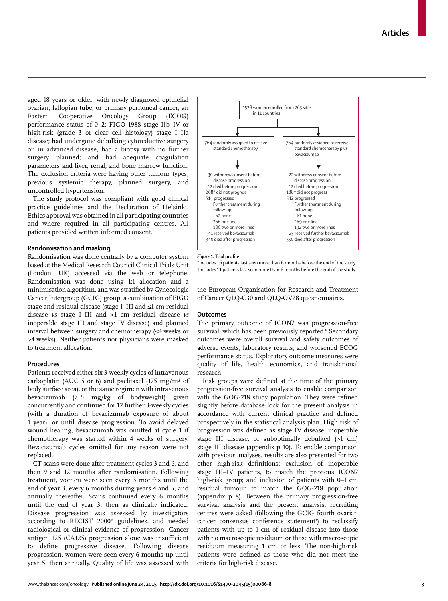aged 18 years or older; with newly diagnosed epithelial ovarian, fallopian tube, or primary peritoneal cancer; an Eastern Cooperative Oncology Group (ECOG) performance status of 0–2; FIGO 1988 stage IIb–IV or high-risk (grade 3 or clear cell histology) stage I–IIa disease; had undergone debulking cytoreductive surgery or, in advanced disease, had a biopsy with no further surgery planned; and had adequate coagulation parameters and liver, renal, and bone marrow function. The exclusion criteria were having other tumour types, previous systemic therapy, planned surgery, and uncontrolled hypertension.

The study protocol was compliant with good clinical practice guidelines and the Declaration of Helsinki. Ethics approval was obtained in all participating countries and where required in all participating centres. All patients provided written informed consent.

## **Randomisation and masking**

Randomisation was done centrally by a computer system based at the Medical Research Council Clinical Trials Unit (London, UK) accessed via the web or telephone. Randomisation was done using 1:1 allocation and a minimisation algorithm, and was stratified by Gynecologic Cancer Intergroup (GCIG) group, a combination of FIGO stage and residual disease (stage I–III and ≤1 cm residual disease *vs* stage I–III and >1 cm residual disease *vs* inoperable stage III and stage IV disease) and planned interval between surgery and chemotherapy  $(\leq 4$  weeks or >4 weeks). Neither patients nor physicians were masked to treatment allocation.

#### **Procedures**

Patients received either six 3-weekly cycles of intravenous carboplatin (AUC 5 or 6) and paclitaxel (175 mg/m<sup>2</sup> of body surface area), or the same regimen with intravenous bevacizumab (7·5 mg/kg of bodyweight) given concurrently and continued for 12 further 3-weekly cycles (with a duration of bevacizumab exposure of about 1 year), or until disease progression. To avoid delayed wound healing, bevacizumab was omitted at cycle 1 if chemotherapy was started within 4 weeks of surgery. Bevacizumab cycles omitted for any reason were not replaced.

CT scans were done after treatment cycles 3 and 6, and then 9 and 12 months after randomisation. Following treatment, women were seen every 3 months until the end of year 3, every 6 months during years 4 and 5, and annually thereafter. Scans continued every 6 months until the end of year 3, then as clinically indicated. Disease progression was assessed by investigators according to RECIST 2000<sup>11</sup> guidelines, and needed radiological or clinical evidence of progression. Cancer antigen 125 (CA125) progression alone was insufficient to define progressive disease. Following disease progression, women were seen every 6 months up until year 5, then annually. Quality of life was assessed with



#### *Figure 1:* **Trial profi le**

\*Includes 16 patients last seen more than 6 months before the end of the study. †Includes 11 patients last seen more than 6 months before the end of the study.

the European Organisation for Research and Treatment of Cancer QLQ-C30 and QLQ-OV28 questionnaires.

## **Outcomes**

The primary outcome of ICON7 was progression-free survival, which has been previously reported. Secondary outcomes were overall survival and safety outcomes of adverse events, laboratory results, and worsened ECOG performance status. Exploratory outcome measures were quality of life, health economics, and translational research.

Risk groups were defined at the time of the primary progression-free survival analysis to enable comparison with the GOG-218 study population. They were refined slightly before database lock for the present analysis in accordance with current clinical practice and defined prospectively in the statistical analysis plan. High risk of progression was defined as stage IV disease, inoperable stage III disease, or suboptimally debulked (>1 cm) stage III disease (appendix p 10). To enable comparison with previous analyses, results are also presented for two other high-risk definitions: exclusion of inoperable stage III–IV patients, to match the previous ICON7 high-risk group; and inclusion of patients with 0–1 cm residual tumour, to match the GOG-218 population (appendix p 8). Between the primary progression-free survival analysis and the present analysis, recruiting centres were asked (following the GCIG fourth ovarian cancer consensus conference statement<sup>3</sup>) to reclassify patients with up to 1 cm of residual disease into those with no macroscopic residuum or those with macroscopic residuum measuring 1 cm or less. The non-high-risk patients were defined as those who did not meet the criteria for high-risk disease.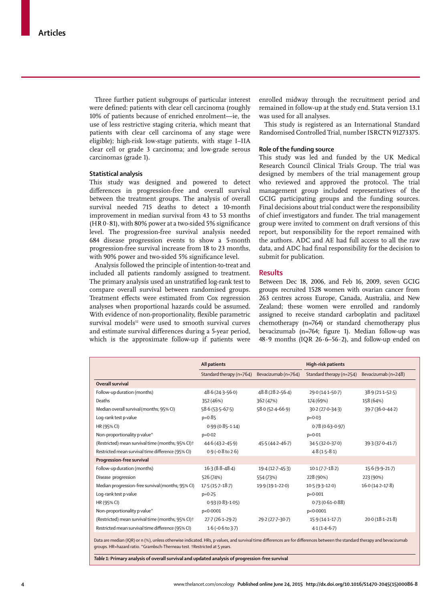Three further patient subgroups of particular interest were defined: patients with clear cell carcinoma (roughly 10% of patients because of enriched enrolment—ie, the use of less restrictive staging criteria, which meant that patients with clear cell carcinoma of any stage were eligible); high-risk low-stage patients, with stage I–IIA clear cell or grade 3 carcinoma; and low-grade serous carcinomas (grade 1).

## **Statistical analysis**

This study was designed and powered to detect differences in progression-free and overall survival between the treatment groups. The analysis of overall survival needed 715 deaths to detect a 10-month improvement in median survival from 43 to 53 months (HR  $0.81$ ), with 80% power at a two-sided 5% significance level. The progression-free survival analysis needed 684 disease progression events to show a 5-month progression-free survival increase from 18 to 23 months, with 90% power and two-sided 5% significance level.

Analysis followed the principle of intention-to-treat and included all patients randomly assigned to treatment. The primary analysis used an unstratified log-rank test to compare overall survival between randomised groups. Treatment effects were estimated from Cox regression analyses when proportional hazards could be assumed. With evidence of non-proportionality, flexible parametric survival models<sup>12</sup> were used to smooth survival curves and estimate survival differences during a 5-year period, which is the approximate follow-up if patients were enrolled midway through the recruitment period and remained in follow-up at the study end. Stata version 13.1 was used for all analyses.

This study is registered as an International Standard Randomised Controlled Trial, number ISRCTN 91273375.

#### **Role of the funding source**

This study was led and funded by the UK Medical Research Council Clinical Trials Group. The trial was designed by members of the trial management group who reviewed and approved the protocol. The trial management group included representatives of the GCIG participating groups and the funding sources. Final decisions about trial conduct were the responsibility of chief investigators and funder. The trial management group were invited to comment on draft versions of this report, but responsibility for the report remained with the authors. ADC and AE had full access to all the raw data, and ADC had final responsibility for the decision to submit for publication.

## **Results**

Between Dec 18, 2006, and Feb 16, 2009, seven GCIG groups recruited 1528 women with ovarian cancer from 263 centres across Europe, Canada, Australia, and New Zealand; these women were enrolled and randomly assigned to receive standard carboplatin and paclitaxel chemotherapy (n=764) or standard chemotherapy plus bevacizumab (n=764; figure 1). Median follow-up was 48·9 months (IQR 26·6–56·2), and follow-up ended on

|                                                               | All patients              |                     | High-risk patients       |                     |  |
|---------------------------------------------------------------|---------------------------|---------------------|--------------------------|---------------------|--|
|                                                               | Standard therapy (n=764)  | Bevacizumab (n=764) | Standard therapy (n=254) | Bevacizumab (n=248) |  |
| Overall survival                                              |                           |                     |                          |                     |  |
| Follow-up duration (months)                                   | $48.6(24.3 - 56.0)$       | 48.8 (28.2-56.4)    | 29.0 (14.1-50.7)         | $38.9(21.1 - 52.5)$ |  |
| Deaths                                                        | 352 (46%)                 | 362 (47%)           | 174 (69%)                | 158 (64%)           |  |
| Median overall survival (months; 95% CI)                      | $58.6(53.5-67.5)$         | $58.0(52.4 - 66.9)$ | $30.2(27.0 - 34.3)$      | 39.7 (36.0-44.2)    |  |
| Log-rank test p value                                         | $p=0.85$                  |                     | $p = 0.03$               |                     |  |
| HR (95% CI)                                                   | $0.99(0.85 - 1.14)$       |                     | $0.78(0.63 - 0.97)$      |                     |  |
| Non-proportionality p value*                                  | $p=0.02$                  |                     | $p = 0.01$               |                     |  |
| (Restricted) mean survival time (months; 95% CI) <sup>+</sup> | $44.6(43.2 - 45.9)$       | $45.5(44.2 - 46.7)$ | 34.5 (32.0-37.0)         | 39.3 (37.0-41.7)    |  |
| Restricted mean survival time difference (95% CI)             | $0.9$ ( $-0.8$ to $2.6$ ) |                     | $4.8(1.5-8.1)$           |                     |  |
| Progression-free survival                                     |                           |                     |                          |                     |  |
| Follow-up duration (months)                                   | $16.3(8.8 - 48.4)$        | $19.4(12.7 - 45.3)$ | $10.1(7.7-18.2)$         | $15.6(9.9-21.7)$    |  |
| Disease progression                                           | 526 (74%)                 | 554 (73%)           | 228 (90%)                | 223 (90%)           |  |
| Median progression-free survival (months; 95% CI)             | $17.5(15.7 - 18.7)$       | 19.9 (19.1-22.0)    | $10.5(9.3 - 12.0)$       | $16.0(14.2 - 17.8)$ |  |
| Log-rank test p value                                         | $p = 0.25$                |                     | $p=0.001$                |                     |  |
| HR (95% CI)                                                   | $0.93(0.83 - 1.05)$       |                     | $0.73(0.61 - 0.88)$      |                     |  |
| Non-proportionality p value*                                  | p<0.0001                  |                     | p<0.0001                 |                     |  |
| (Restricted) mean survival time (months; 95% CI) <sup>+</sup> | $27.7(26.1-29.2)$         | 29-2 (27-7-30-7)    | $15.9(14.1 - 17.7)$      | 20.0 (18.1-21.8)    |  |
| Restricted mean survival time difference (95% CI)             | $1.6$ (-0.6 to 3.7)       |                     | $4.1(1.4-6.7)$           |                     |  |

Data are median (IQR) or n (%), unless otherwise indicated. HRs, p values, and survival time differences are for differences between the standard therapy and bevacizumab groups. HR=hazard ratio. \*Grambsch-Therneau test. †Restricted at 5 years.

*Table 1:* **Primary analysis of overall survival and updated analysis of progression-free survival**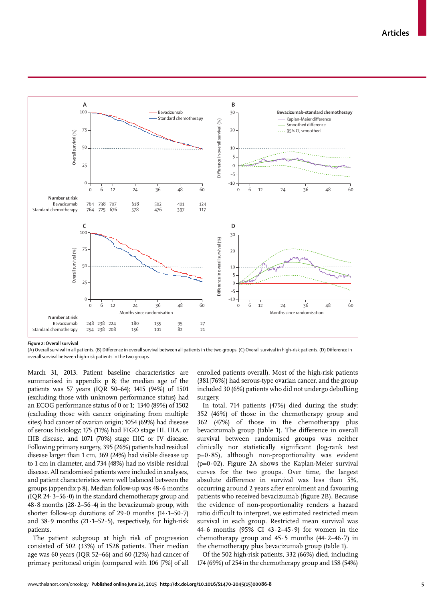

*Figure 2:* **Overall survival**

(A) Overall survival in all patients. (B) Difference in overall survival between all patients in the two groups. (C) Overall survival in high-risk patients. (D) Difference in overall survival between high-risk patients in the two groups.

March 31, 2013. Patient baseline characteristics are summarised in appendix p 8; the median age of the patients was 57 years (IQR 50–64); 1415 (94%) of 1501 (excluding those with unknown performance status) had an ECOG performance status of 0 or 1; 1340 (89%) of 1502 (excluding those with cancer originating from multiple sites) had cancer of ovarian origin; 1054 (69%) had disease of serous histology; 175 (11%) had FIGO stage III, IIIA, or IIIB disease, and 1071 (70%) stage IIIC or IV disease. Following primary surgery, 395 (26%) patients had residual disease larger than 1 cm, 369 (24%) had visible disease up to 1 cm in diameter, and 734 (48%) had no visible residual disease. All randomised patients were included in analyses, and patient characteristics were well balanced between the groups (appendix p 8). Median follow-up was 48·6 months (IQR 24·3–56·0) in the standard chemotherapy group and  $48.8$  months  $(28.2-56.4)$  in the bevacizumab group, with shorter follow-up durations of 29·0 months (14·1–50·7) and  $38.9$  months  $(21.1-52.5)$ , respectively, for high-risk patients.

The patient subgroup at high risk of progression consisted of 502 (33%) of 1528 patients. Their median age was 60 years (IQR 52–66) and 60 (12%) had cancer of primary peritoneal origin (compared with 106 [7%] of all enrolled patients overall). Most of the high-risk patients (381 [76%]) had serous-type ovarian cancer, and the group included 30 (6%) patients who did not undergo debulking surgery.

In total, 714 patients (47%) died during the study: 352 (46%) of those in the chemotherapy group and 362 (47%) of those in the chemotherapy plus bevacizumab group (table 1). The difference in overall survival between randomised groups was neither clinically nor statistically significant (log-rank test  $p=0.85$ ), although non-proportionality was evident ( $p=0.02$ ). Figure 2A shows the Kaplan-Meier survival curves for the two groups. Over time, the largest absolute difference in survival was less than 5%, occurring around 2 years after enrolment and favouring patients who received bevacizumab (figure 2B). Because the evidence of non-proportionality renders a hazard ratio difficult to interpret, we estimated restricted mean survival in each group. Restricted mean survival was 44·6 months (95% CI 43·2–45·9) for women in the chemotherapy group and  $45.5$  months  $(44.2-46.7)$  in the chemotherapy plus bevacizumab group (table 1).

Of the 502 high-risk patients, 332 (66%) died, including 174 (69%) of 254 in the chemotherapy group and 158 (54%)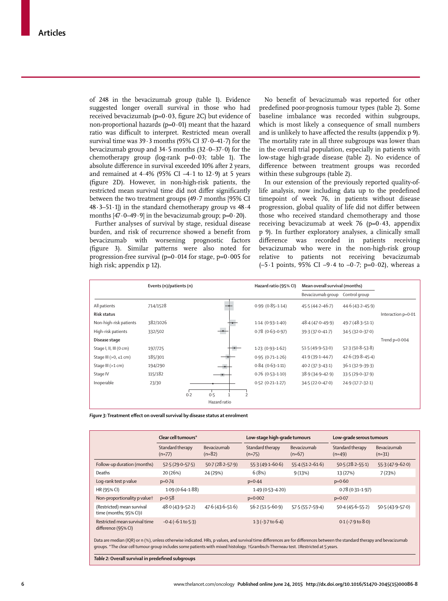of 248 in the bevacizumab group (table 1). Evidence suggested longer overall survival in those who had received bevacizumab ( $p=0.03$ , figure 2C) but evidence of non-proportional hazards ( $p=0.01$ ) meant that the hazard ratio was difficult to interpret. Restricted mean overall survival time was 39·3 months (95% CI 37·0–41·7) for the bevacizumab group and 34·5 months (32·0–37·0) for the chemotherapy group (log-rank  $p=0.03$ ; table 1). The absolute difference in survival exceeded 10% after 2 years, and remained at  $4.4\%$  (95% CI  $-4.1$  to 12.9) at 5 years (figure 2D). However, in non-high-risk patients, the restricted mean survival time did not differ significantly between the two treatment groups (49·7 months [95% CI  $48.3-51.1$ ) in the standard chemotherapy group vs  $48.4$ months  $[47.0-49.9]$  in the bevacizumab group;  $p=0.20$ ).

Further analyses of survival by stage, residual disease burden, and risk of recurrence showed a benefit from bevacizumab with worsening prognostic factors (figure 3). Similar patterns were also noted for progression-free survival ( $p=0.014$  for stage,  $p=0.005$  for high risk; appendix p 12).

No benefit of bevacizumab was reported for other predefined poor-prognosis tumour types (table 2). Some baseline imbalance was recorded within subgroups, which is most likely a consequence of small numbers and is unlikely to have affected the results (appendix p 9). The mortality rate in all three subgroups was lower than in the overall trial population, especially in patients with low-stage high-grade disease (table 2). No evidence of difference between treatment groups was recorded within these subgroups (table 2).

In our extension of the previously reported quality-oflife analysis, now including data up to the predefined timepoint of week 76, in patients without disease progression, global quality of life did not differ between those who received standard chemotherapy and those receiving bevacizumab at week 76 (p= $0.43$ , appendix p 9). In further exploratory analyses, a clinically small difference was recorded in patients receiving bevacizumab who were in the non-high-risk group relative to patients not receiving bevacizumab ( $-5.1$  points, 95% CI  $-9.4$  to  $-0.7$ ; p=0.02), whereas a

|                                 | Events (n)/patients (n) |              | Hazard ratio (95% CI) | Mean overall survival (months) |                     |                    |
|---------------------------------|-------------------------|--------------|-----------------------|--------------------------------|---------------------|--------------------|
|                                 |                         |              |                       | Bevacizumab group              | Control group       |                    |
| All patients                    | 714/1528                |              | $0.99(0.85-1.14)$     | $45.5(44.2 - 46.7)$            | $44.6(43.2 - 45.9)$ |                    |
| <b>Risk status</b>              |                         |              |                       |                                |                     | Interaction p=0.01 |
| Non-high-risk patients          | 382/1026                |              | $1.14(0.93 - 1.40)$   | $48.4(47.0 - 49.9)$            | $49.7(48.3 - 51.1)$ |                    |
| High-risk patients              | 332/502                 |              | $0.78(0.63 - 0.97)$   | 39.3 (37.0-41.7)               | 34.5 (32.0-37.0)    |                    |
| Disease stage                   |                         |              |                       |                                |                     | Trend $p=0.004$    |
| Stage I, II, III (0 cm)         | 197/725                 |              | $1.23(0.93-1.62)$     | $51.5(49.9 - 53.0)$            | $52.3(50.8-53.8)$   |                    |
| Stage III ( $>0$ , $\leq 1$ cm) | 185/301                 |              | $0.95(0.71-1.26)$     | $41.9(39.1 - 44.7)$            | $42.6(39.8-45.4)$   |                    |
| Stage III (>1 cm)               | 194/290                 |              | $0.84(0.63 - 1.11)$   | $40.2(37.3 - 43.1)$            | $36.1(32.9 - 39.3)$ |                    |
| Stage IV                        | 115/182                 |              | $0.76$ (0.53-1.10)    | $38.9(34.9 - 42.9)$            | 33.5 (29.0-37.9)    |                    |
| Inoperable                      | 23/30                   |              | $0.52(0.21 - 1.27)$   | $34.5(22.0 - 47.0)$            | 24.9 (17.7-32.1)    |                    |
|                                 | 0.2                     | 0.5          |                       |                                |                     |                    |
|                                 |                         | Hazard ratio |                       |                                |                     |                    |

Figure 3: Treatment effect on overall survival by disease status at enrolment

|                                                      | Clear cell tumours*          |                         | Low-stage high-grade tumours |                         | Low-grade serous tumours     |                         |
|------------------------------------------------------|------------------------------|-------------------------|------------------------------|-------------------------|------------------------------|-------------------------|
|                                                      | Standard therapy<br>$(n=77)$ | Bevacizumab<br>$(n=82)$ | Standard therapy<br>$(n=75)$ | Bevacizumab<br>$(n=67)$ | Standard therapy<br>$(n=49)$ | Bevacizumab<br>$(n=31)$ |
| Follow-up duration (months)                          | $52.5(29.0-57.5)$            | $50.7(28.2 - 57.9)$     | $55.3(49.1 - 60.6)$          | $55.4(51.2 - 61.6)$     | $50.5(28.2 - 55.1)$          | $55.3(47.9 - 62.0)$     |
| Deaths                                               | 20 (26%)                     | 24 (29%)                | 6(8%)                        | 9(13%)                  | 13 (27%)                     | 7(23%)                  |
| Log-rank test p value                                | $p=0.74$                     |                         | $p = 0.44$                   |                         | $p=0.60$                     |                         |
| HR (95% CI)                                          | $1.09(0.64 - 1.88)$          |                         | $1.49(0.53 - 4.20)$          |                         | $0.78(0.31 - 1.97)$          |                         |
| Non-proportionality p valuet                         | $p = 0.58$                   |                         | $p=0.002$                    |                         | $p=0.07$                     |                         |
| (Restricted) mean survival<br>time (months; 95% CI)‡ | $48.0(43.9 - 52.2)$          | $47.6(43.6 - 51.6)$     | $56.2(51.5 - 60.9)$          | 57.5 (55.7-59.4)        | $50.4(45.6 - 55.2)$          | $50.5(43.9 - 57.0)$     |
| Restricted mean survival time<br>difference (95% CI) | $-0.4$ ( $-6.1$ to $5.3$ )   |                         | $1.3(-3.7)$ to $6.4$ )       |                         | $0.1$ ( $-7.9$ to $8.0$ )    |                         |

groups. \*The clear cell tumour group includes some patients with mixed histology. †Grambsch-Therneau test. ‡Restricted at 5 years.

**Table 2:** Overall survival in predefined subgroups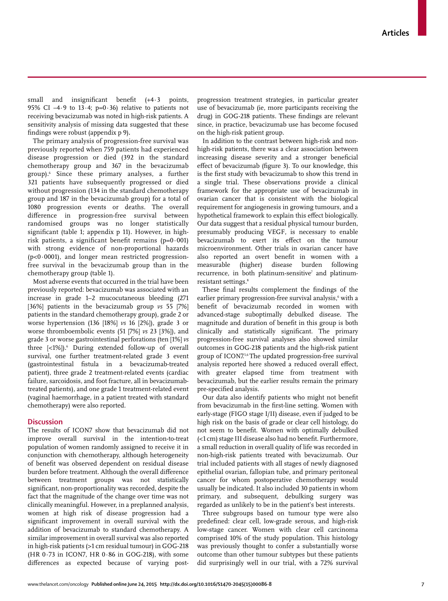small and insignificant benefit  $(+4.3 \text{ points},$ 95% CI  $-4.9$  to 13.4; p=0.36) relative to patients not receiving bevacizumab was noted in high-risk patients. A sensitivity analysis of missing data suggested that these fi ndings were robust (appendix p 9)**.**

The primary analysis of progression-free survival was previously reported when 759 patients had experienced disease progression or died (392 in the standard chemotherapy group and 367 in the bevacizumab group).6 Since these primary analyses, a further 321 patients have subsequently progressed or died without progression (134 in the standard chemotherapy group and 187 in the bevacizumab group) for a total of 1080 progression events or deaths. The overall difference in progression-free survival between randomised groups was no longer statistically significant (table 1; appendix p 11). However, in highrisk patients, a significant benefit remains ( $p=0.001$ ) with strong evidence of non-proportional hazards  $(p<0.0001)$ , and longer mean restricted progressionfree survival in the bevacizumab group than in the chemotherapy group (table 1).

Most adverse events that occurred in the trial have been previously reported: bevacizumab was associated with an increase in grade 1–2 mucocutaneous bleeding (271 [36%] patients in the bevacizumab group *vs* 55 [7%] patients in the standard chemotherapy group), grade 2 or worse hypertension (136 [18%] *vs* 16 [2%]), grade 3 or worse thromboembolic events (51 [7%] *vs* 23 [3%]), and grade 3 or worse gastrointestinal perforations (ten [1%] *vs* three [<1%]). During extended follow-up of overall survival, one further treatment-related grade 3 event (gastrointestinal fistula in a bevacizumab-treated patient), three grade 2 treatment-related events (cardiac failure, sarcoidosis, and foot fracture, all in bevacizumabtreated patients), and one grade 1 treatment-related event (vaginal haemorrhage, in a patient treated with standard chemotherapy) were also reported.

## **Discussion**

The results of ICON7 show that bevacizumab did not improve overall survival in the intention-to-treat population of women randomly assigned to receive it in conjunction with chemotherapy, although heterogeneity of benefit was observed dependent on residual disease burden before treatment. Although the overall difference between treatment groups was not statistically significant, non-proportionality was recorded, despite the fact that the magnitude of the change over time was not clinically meaningful. However, in a preplanned analysis, women at high risk of disease progression had a significant improvement in overall survival with the addition of bevacizumab to standard chemotherapy. A similar improvement in overall survival was also reported in high-risk patients (>1 cm residual tumour) in GOG-218 (HR 0·73 in ICON7, HR 0·86 in GOG-218), with some differences as expected because of varying postprogression treatment strategies, in particular greater use of bevacizumab (ie, more participants receiving the drug) in GOG-218 patients. These findings are relevant since, in practice, bevacizumab use has become focused on the high-risk patient group.

In addition to the contrast between high-risk and nonhigh-risk patients, there was a clear association between increasing disease severity and a stronger beneficial effect of bevacizumab (figure 3). To our knowledge, this is the first study with bevacizumab to show this trend in a single trial. These observations provide a clinical framework for the appropriate use of bevacizumab in ovarian cancer that is consistent with the biological requirement for angiogenesis in growing tumours, and a hypothetical framework to explain this effect biologically. Our data suggest that a residual physical tumour burden, presumably producing VEGF, is necessary to enable bevacizumab to exert its effect on the tumour microenvironment. Other trials in ovarian cancer have also reported an overt benefit in women with a measurable (higher) disease burden following recurrence, in both platinum-sensitive<sup>7</sup> and platinumresistant settings.<sup>8</sup>

These final results complement the findings of the earlier primary progression-free survival analysis, $^{\circ}$  with a benefit of bevacizumab recorded in women with advanced-stage suboptimally debulked disease. The magnitude and duration of benefit in this group is both clinically and statistically significant. The primary progression-free survival analyses also showed similar outcomes in GOG-218 patients and the high-risk patient group of ICON7.5,6 The updated progression-free survival analysis reported here showed a reduced overall effect, with greater elapsed time from treatment with bevacizumab, but the earlier results remain the primary pre-specified analysis.

Our data also identify patients who might not benefit from bevacizumab in the first-line setting. Women with early-stage (FIGO stage I/II) disease, even if judged to be high risk on the basis of grade or clear cell histology, do not seem to benefit. Women with optimally debulked (<1 cm) stage III disease also had no benefit. Furthermore, a small reduction in overall quality of life was recorded in non-high-risk patients treated with bevacizumab. Our trial included patients with all stages of newly diagnosed epithelial ovarian, fallopian tube, and primary peritoneal cancer for whom postoperative chemotherapy would usually be indicated. It also included 30 patients in whom primary, and subsequent, debulking surgery was regarded as unlikely to be in the patient's best interests.

Three subgroups based on tumour type were also predefined: clear cell, low-grade serous, and high-risk low-stage cancer. Women with clear cell carcinoma comprised 10% of the study population. This histology was previously thought to confer a substantially worse outcome than other tumour subtypes but these patients did surprisingly well in our trial, with a 72% survival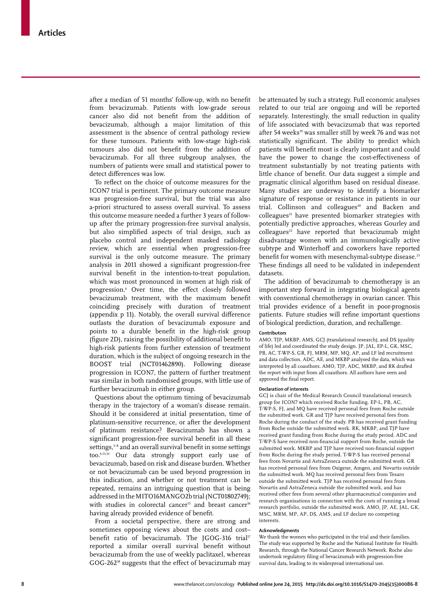after a median of 51 months' follow-up, with no benefit from bevacizumab. Patients with low-grade serous cancer also did not benefit from the addition of bevacizumab, although a major limitation of this assessment is the absence of central pathology review for these tumours. Patients with low-stage high-risk tumours also did not benefit from the addition of bevacizumab. For all three subgroup analyses, the numbers of patients were small and statistical power to detect differences was low.

To reflect on the choice of outcome measures for the ICON7 trial is pertinent. The primary outcome measure was progression-free survival, but the trial was also a-priori structured to assess overall survival. To assess this outcome measure needed a further 3 years of followup after the primary progression-free survival analysis, but also simplified aspects of trial design, such as placebo control and independent masked radiology review, which are essential when progression-free survival is the only outcome measure. The primary analysis in 2011 showed a significant progression-free survival benefit in the intention-to-treat population, which was most pronounced in women at high risk of progression.6 Over time, the effect closely followed bevacizumab treatment, with the maximum benefit coinciding precisely with duration of treatment (appendix  $p$  11). Notably, the overall survival difference outlasts the duration of bevacizumab exposure and points to a durable benefit in the high-risk group (figure 2D), raising the possibility of additional benefit to high-risk patients from further extension of treatment duration, which is the subject of ongoing research in the BOOST trial (NCT01462890). Following disease progression in ICON7, the pattern of further treatment was similar in both randomised groups, with little use of further bevacizumab in either group.

Questions about the optimum timing of bevacizumab therapy in the trajectory of a woman's disease remain. Should it be considered at initial presentation, time of platinum-sensitive recurrence, or after the development of platinum resistance? Bevacizumab has shown a significant progression-free survival benefit in all these settings,<sup>5-8</sup> and an overall survival benefit in some settings too.6,13,14 Our data strongly support early use of bevacizumab, based on risk and disease burden. Whether or not bevacizumab can be used beyond progression in this indication, and whether or not treatment can be repeated, remains an intriguing question that is being addressed in the MITO16MANGO2b trial (NCT01802749); with studies in colorectal cancer<sup>15</sup> and breast cancer<sup>16</sup> having already provided evidence of benefit.

From a societal perspective, there are strong and sometimes opposing views about the costs and cost– benefit ratio of bevacizumab. The JGOG-316 trial<sup>17</sup> reported a similar overall survival benefit without bevacizumab from the use of weekly paclitaxel, whereas  $GOG-262<sup>18</sup>$  suggests that the effect of bevacizumab may be attenuated by such a strategy. Full economic analyses related to our trial are ongoing and will be reported separately. Interestingly, the small reduction in quality of life associated with bevacizumab that was reported after 54 weeks<sup>19</sup> was smaller still by week 76 and was not statistically significant. The ability to predict which patients will benefit most is clearly important and could have the power to change the cost-effectiveness of treatment substantially by not treating patients with little chance of benefit. Our data suggest a simple and pragmatic clinical algorithm based on residual disease. Many studies are underway to identify a biomarker signature of response or resistance in patients in our trial. Collinson and colleagues<sup>20</sup> and Backen and colleagues<sup>21</sup> have presented biomarker strategies with potentially predictive approaches, whereas Gourley and  $\text{colle}$ agues<sup>22</sup> have reported that bevacizumab might disadvantage women with an immunologically active subtype and Winterhoff and coworkers have reported benefit for women with mesenchymal-subtype disease.<sup>23</sup> These findings all need to be validated in independent datasets.

The addition of bevacizumab to chemotherapy is an important step forward in integrating biological agents with conventional chemotherapy in ovarian cancer. This trial provides evidence of a benefit in poor-prognosis patients. Future studies will refine important questions of biological prediction, duration, and rechallenge.

#### **Contributors**

AMO, TJP, MKBP, AMS, GCJ (translational research), and DS (quality of life) led and coordinated the study design. JP, JAL, EP-L, GK, MSC, PB, AC, T-WP-S, GR, FJ, MRM, MP, MQ, AP, and LF led recruitment and data collection. ADC, AE, and MKBP analysed the data, which was interpreted by all coauthors. AMO, TJP, ADC, MKBP, and RK drafted the report with input from all coauthors. All authors have seen and approved the final report.

#### **Declaration of interests**

GCJ is chair of the Medical Research Council translational research group for ICON7 which received Roche funding. EP-L, PB, AC, T-WP-S, FJ, and MQ have received personal fees from Roche outside the submitted work. GR and TJP have received personal fees from Roche during the conduct of the study. PB has received grant funding from Roche outside the submitted work. RK, MKBP, and TJP have received grant funding from Roche during the study period. ADC and T-WP-S have received non-financial support from Roche, outside the submitted work. MKBP and TJP have received non-financial support from Roche during the study period. T-WP-S has received personal fees from Novartis and AstraZeneca outside the submitted work. GR has received personal fees from Oxigene, Amgen, and Novartis outside the submitted work. MQ has received personal fees from Tesaro outside the submitted work. TJP has received personal fees from Novartis and AstraZeneca outside the submitted work, and has received other fees from several other pharmaceutical companies and research organisations in connection with the costs of running a broad research portfolio, outside the submitted work. AMO, JP, AE, JAL, GK, MSC, MRM, MP, AP, DS, AMS, and LF declare no competing interests.

#### **Acknowledgments**

We thank the women who participated in the trial and their families. The study was supported by Roche and the National Institute for Health Research, through the National Cancer Research Network. Roche also undertook regulatory filing of bevacizumab with progression-free survival data, leading to its widespread international use.